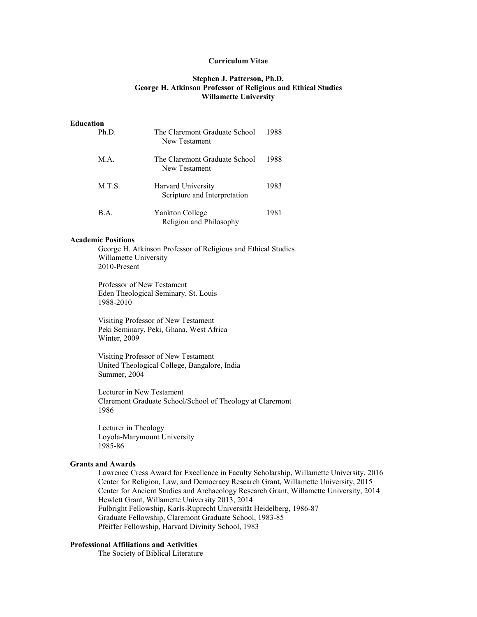#### **Curriculum Vitae**

# **Stephen J. Patterson, Ph.D. George H. Atkinson Professor of Religious and Ethical Studies Willamette University**

## **Education**

| Ph.D.  | The Claremont Graduate School<br>New Testament     | 1988 |
|--------|----------------------------------------------------|------|
| M.A.   | The Claremont Graduate School<br>New Testament     | 1988 |
| M.T.S. | Harvard University<br>Scripture and Interpretation | 1983 |
| B.A.   | Yankton College<br>Religion and Philosophy         | 1981 |

#### **Academic Positions**

George H. Atkinson Professor of Religious and Ethical Studies Willamette University 2010-Present

Professor of New Testament Eden Theological Seminary, St. Louis 1988-2010

Visiting Professor of New Testament Peki Seminary, Peki, Ghana, West Africa Winter, 2009

Visiting Professor of New Testament United Theological College, Bangalore, India Summer, 2004

Lecturer in New Testament Claremont Graduate School/School of Theology at Claremont 1986

Lecturer in Theology Loyola-Marymount University 1985-86

## **Grants and Awards**

Lawrence Cress Award for Excellence in Faculty Scholarship, Willamette University, 2016 Center for Religion, Law, and Democracy Research Grant, Willamette University, 2015 Center for Ancient Studies and Archaeology Research Grant, Willamette University, 2014 Hewlett Grant, Willamette University 2013, 2014 Fulbright Fellowship, Karls-Ruprecht Universität Heidelberg, 1986-87 Graduate Fellowship, Claremont Graduate School, 1983-85 Pfeiffer Fellowship, Harvard Divinity School, 1983

#### **Professional Affiliations and Activities**

The Society of Biblical Literature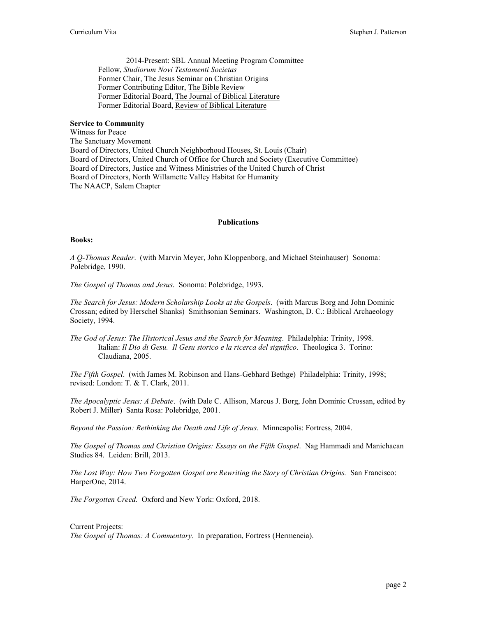2014-Present: SBL Annual Meeting Program Committee Fellow, *Studiorum Novi Testamenti Societas* Former Chair, The Jesus Seminar on Christian Origins Former Contributing Editor, The Bible Review Former Editorial Board, The Journal of Biblical Literature Former Editorial Board, Review of Biblical Literature

## **Service to Community**

Witness for Peace The Sanctuary Movement Board of Directors, United Church Neighborhood Houses, St. Louis (Chair) Board of Directors, United Church of Office for Church and Society (Executive Committee) Board of Directors, Justice and Witness Ministries of the United Church of Christ Board of Directors, North Willamette Valley Habitat for Humanity The NAACP, Salem Chapter

#### **Publications**

## **Books:**

*A Q-Thomas Reader*. (with Marvin Meyer, John Kloppenborg, and Michael Steinhauser) Sonoma: Polebridge, 1990.

*The Gospel of Thomas and Jesus*. Sonoma: Polebridge, 1993.

*The Search for Jesus: Modern Scholarship Looks at the Gospels*. (with Marcus Borg and John Dominic Crossan; edited by Herschel Shanks) Smithsonian Seminars. Washington, D. C.: Biblical Archaeology Society, 1994.

*The God of Jesus: The Historical Jesus and the Search for Meaning*. Philadelphia: Trinity, 1998. Italian: *Il Dio di Gesu. Il Gesu storico e la ricerca del significo*. Theologica 3. Torino: Claudiana, 2005.

*The Fifth Gospel*. (with James M. Robinson and Hans-Gebhard Bethge) Philadelphia: Trinity, 1998; revised: London: T. & T. Clark, 2011.

*The Apocalyptic Jesus: A Debate*. (with Dale C. Allison, Marcus J. Borg, John Dominic Crossan, edited by Robert J. Miller) Santa Rosa: Polebridge, 2001.

*Beyond the Passion: Rethinking the Death and Life of Jesus*. Minneapolis: Fortress, 2004.

*The Gospel of Thomas and Christian Origins: Essays on the Fifth Gospel*. Nag Hammadi and Manichaean Studies 84. Leiden: Brill, 2013.

*The Lost Way: How Two Forgotten Gospel are Rewriting the Story of Christian Origins.* San Francisco: HarperOne, 2014.

*The Forgotten Creed.* Oxford and New York: Oxford, 2018.

Current Projects: *The Gospel of Thomas: A Commentary*. In preparation, Fortress (Hermeneia).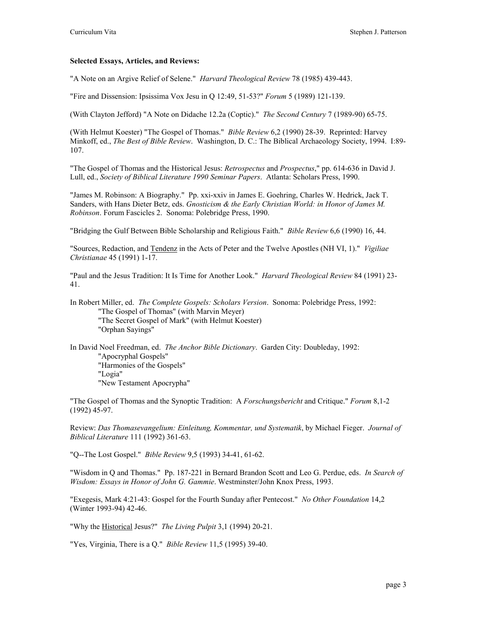# **Selected Essays, Articles, and Reviews:**

"A Note on an Argive Relief of Selene." *Harvard Theological Review* 78 (1985) 439-443.

"Fire and Dissension: Ipsissima Vox Jesu in Q 12:49, 51-53?" *Forum* 5 (1989) 121-139.

(With Clayton Jefford) "A Note on Didache 12.2a (Coptic)." *The Second Century* 7 (1989-90) 65-75.

(With Helmut Koester) "The Gospel of Thomas." *Bible Review* 6,2 (1990) 28-39. Reprinted: Harvey Minkoff, ed., *The Best of Bible Review*. Washington, D. C.: The Biblical Archaeology Society, 1994. I:89- 107.

"The Gospel of Thomas and the Historical Jesus: *Retrospectus* and *Prospectus*," pp. 614-636 in David J. Lull, ed., *Society of Biblical Literature 1990 Seminar Papers*. Atlanta: Scholars Press, 1990.

"James M. Robinson: A Biography." Pp. xxi-xxiv in James E. Goehring, Charles W. Hedrick, Jack T. Sanders, with Hans Dieter Betz, eds. *Gnosticism & the Early Christian World: in Honor of James M. Robinson*. Forum Fascicles 2. Sonoma: Polebridge Press, 1990.

"Bridging the Gulf Between Bible Scholarship and Religious Faith." *Bible Review* 6,6 (1990) 16, 44.

"Sources, Redaction, and Tendenz in the Acts of Peter and the Twelve Apostles (NH VI, 1)." *Vigiliae Christianae* 45 (1991) 1-17.

"Paul and the Jesus Tradition: It Is Time for Another Look." *Harvard Theological Review* 84 (1991) 23- 41.

In Robert Miller, ed. *The Complete Gospels: Scholars Version*. Sonoma: Polebridge Press, 1992: "The Gospel of Thomas" (with Marvin Meyer) "The Secret Gospel of Mark" (with Helmut Koester) "Orphan Sayings"

In David Noel Freedman, ed. *The Anchor Bible Dictionary*. Garden City: Doubleday, 1992: "Apocryphal Gospels" "Harmonies of the Gospels" "Logia" "New Testament Apocrypha"

"The Gospel of Thomas and the Synoptic Tradition: A *Forschungsbericht* and Critique." *Forum* 8,1-2 (1992) 45-97.

Review: *Das Thomasevangelium: Einleitung, Kommentar, und Systematik*, by Michael Fieger. *Journal of Biblical Literature* 111 (1992) 361-63.

"Q--The Lost Gospel." *Bible Review* 9,5 (1993) 34-41, 61-62.

"Wisdom in Q and Thomas." Pp. 187-221 in Bernard Brandon Scott and Leo G. Perdue, eds. *In Search of Wisdom: Essays in Honor of John G. Gammie*. Westminster/John Knox Press, 1993.

"Exegesis, Mark 4:21-43: Gospel for the Fourth Sunday after Pentecost." *No Other Foundation* 14,2 (Winter 1993-94) 42-46.

"Why the Historical Jesus?" *The Living Pulpit* 3,1 (1994) 20-21.

"Yes, Virginia, There is a Q." *Bible Review* 11,5 (1995) 39-40.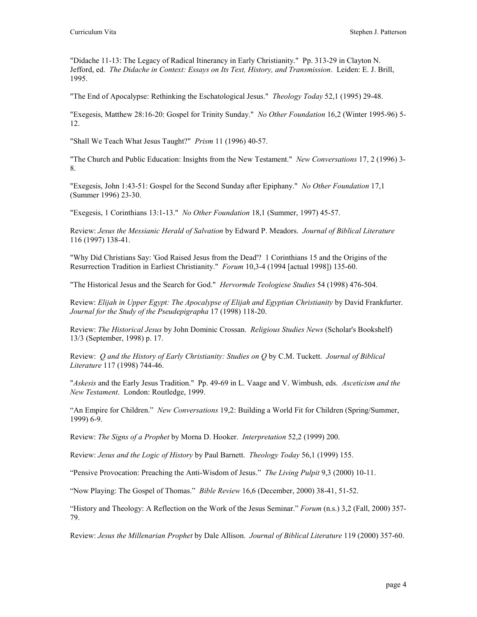"Didache 11-13: The Legacy of Radical Itinerancy in Early Christianity." Pp. 313-29 in Clayton N. Jefford, ed. *The Didache in Context: Essays on Its Text, History, and Transmission*. Leiden: E. J. Brill, 1995.

"The End of Apocalypse: Rethinking the Eschatological Jesus." *Theology Today* 52,1 (1995) 29-48.

"Exegesis, Matthew 28:16-20: Gospel for Trinity Sunday." *No Other Foundation* 16,2 (Winter 1995-96) 5- 12.

"Shall We Teach What Jesus Taught?" *Prism* 11 (1996) 40-57.

"The Church and Public Education: Insights from the New Testament." *New Conversations* 17, 2 (1996) 3- 8.

"Exegesis, John 1:43-51: Gospel for the Second Sunday after Epiphany." *No Other Foundation* 17,1 (Summer 1996) 23-30.

"Exegesis, 1 Corinthians 13:1-13." *No Other Foundation* 18,1 (Summer, 1997) 45-57.

Review: *Jesus the Messianic Herald of Salvation* by Edward P. Meadors. *Journal of Biblical Literature* 116 (1997) 138-41.

"Why Did Christians Say: 'God Raised Jesus from the Dead'? 1 Corinthians 15 and the Origins of the Resurrection Tradition in Earliest Christianity." *Forum* 10,3-4 (1994 [actual 1998]) 135-60.

"The Historical Jesus and the Search for God." *Hervormde Teologiese Studies* 54 (1998) 476-504.

Review: *Elijah in Upper Egypt: The Apocalypse of Elijah and Egyptian Christianity* by David Frankfurter. *Journal for the Study of the Pseudepigrapha* 17 (1998) 118-20.

Review: *The Historical Jesus* by John Dominic Crossan. *Religious Studies News* (Scholar's Bookshelf) 13/3 (September, 1998) p. 17.

Review: *Q and the History of Early Christianity: Studies on Q* by C.M. Tuckett. *Journal of Biblical Literature* 117 (1998) 744-46.

"*Askesis* and the Early Jesus Tradition." Pp. 49-69 in L. Vaage and V. Wimbush, eds. *Asceticism and the New Testament*. London: Routledge, 1999.

"An Empire for Children." *New Conversations* 19,2: Building a World Fit for Children (Spring/Summer, 1999) 6-9.

Review: *The Signs of a Prophet* by Morna D. Hooker. *Interpretation* 52,2 (1999) 200.

Review: *Jesus and the Logic of History* by Paul Barnett. *Theology Today* 56,1 (1999) 155.

"Pensive Provocation: Preaching the Anti-Wisdom of Jesus." *The Living Pulpit* 9,3 (2000) 10-11.

"Now Playing: The Gospel of Thomas." *Bible Review* 16,6 (December, 2000) 38-41, 51-52.

"History and Theology: A Reflection on the Work of the Jesus Seminar." *Forum* (n.s.) 3,2 (Fall, 2000) 357- 79.

Review: *Jesus the Millenarian Prophet* by Dale Allison. *Journal of Biblical Literature* 119 (2000) 357-60.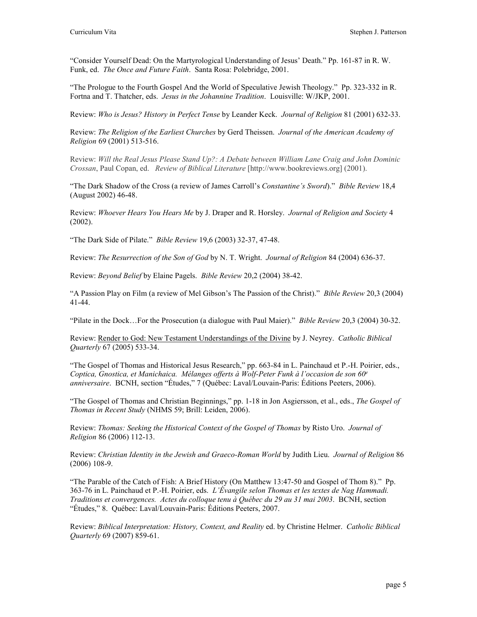"Consider Yourself Dead: On the Martyrological Understanding of Jesus' Death." Pp. 161-87 in R. W. Funk, ed. *The Once and Future Faith*. Santa Rosa: Polebridge, 2001.

"The Prologue to the Fourth Gospel And the World of Speculative Jewish Theology." Pp. 323-332 in R. Fortna and T. Thatcher, eds. *Jesus in the Johannine Tradition*. Louisville: W/JKP, 2001.

Review: *Who is Jesus? History in Perfect Tense* by Leander Keck. *Journal of Religion* 81 (2001) 632-33.

Review: *The Religion of the Earliest Churches* by Gerd Theissen. *Journal of the American Academy of Religion* 69 (2001) 513-516.

Review: *Will the Real Jesus Please Stand Up?: A Debate between William Lane Craig and John Dominic Crossan*, Paul Copan, ed. *Review of Biblical Literature* [http://www.bookreviews.org] (2001).

"The Dark Shadow of the Cross (a review of James Carroll's *Constantine's Sword*)." *Bible Review* 18,4 (August 2002) 46-48.

Review: *Whoever Hears You Hears Me* by J. Draper and R. Horsley. *Journal of Religion and Society* 4 (2002).

"The Dark Side of Pilate." *Bible Review* 19,6 (2003) 32-37, 47-48.

Review: *The Resurrection of the Son of God* by N. T. Wright. *Journal of Religion* 84 (2004) 636-37.

Review: *Beyond Belief* by Elaine Pagels. *Bible Review* 20,2 (2004) 38-42.

"A Passion Play on Film (a review of Mel Gibson's The Passion of the Christ)." *Bible Review* 20,3 (2004) 41-44.

"Pilate in the Dock…For the Prosecution (a dialogue with Paul Maier)." *Bible Review* 20,3 (2004) 30-32.

Review: Render to God: New Testament Understandings of the Divine by J. Neyrey. *Catholic Biblical Quarterly* 67 (2005) 533-34.

"The Gospel of Thomas and Historical Jesus Research," pp. 663-84 in L. Painchaud et P.-H. Poirier, eds., *Coptica, Gnostica, et Manichaica. Mélanges offerts à Wolf-Peter Funk à l'occasion de son 60e anniversaire*. BCNH, section "Études," 7 (Québec: Laval/Louvain-Paris: Éditions Peeters, 2006).

"The Gospel of Thomas and Christian Beginnings," pp. 1-18 in Jon Asgiersson, et al., eds., *The Gospel of Thomas in Recent Study* (NHMS 59; Brill: Leiden, 2006).

Review: *Thomas: Seeking the Historical Context of the Gospel of Thomas* by Risto Uro. *Journal of Religion* 86 (2006) 112-13.

Review: *Christian Identity in the Jewish and Graeco-Roman World* by Judith Lieu. *Journal of Religion* 86 (2006) 108-9.

"The Parable of the Catch of Fish: A Brief History (On Matthew 13:47-50 and Gospel of Thom 8)." Pp. 363-76 in L. Painchaud et P.-H. Poirier, eds. *L'Évangile selon Thomas et les textes de Nag Hammadi. Traditions et convergences. Actes du colloque tenu à Québec du 29 au 31 mai 2003*. BCNH, section "Études," 8. Québec: Laval/Louvain-Paris: Éditions Peeters, 2007.

Review: *Biblical Interpretation: History, Context, and Reality* ed. by Christine Helmer. *Catholic Biblical Quarterly* 69 (2007) 859-61.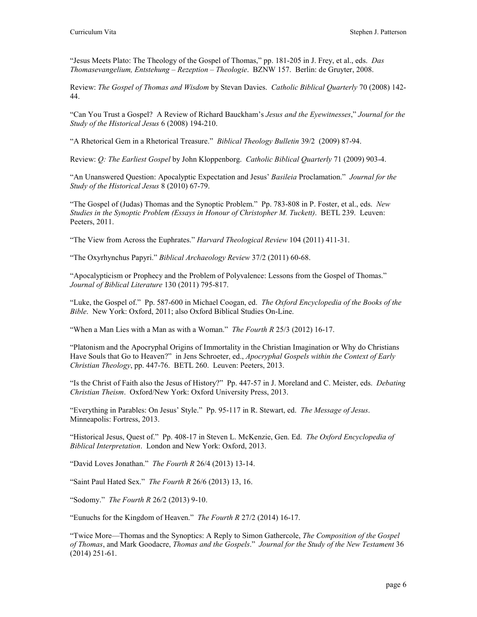"Jesus Meets Plato: The Theology of the Gospel of Thomas," pp. 181-205 in J. Frey, et al., eds. *Das Thomasevangelium, Entstehung – Rezeption – Theologie*. BZNW 157. Berlin: de Gruyter, 2008.

Review: *The Gospel of Thomas and Wisdom* by Stevan Davies. *Catholic Biblical Quarterly* 70 (2008) 142- 44.

"Can You Trust a Gospel? A Review of Richard Bauckham's *Jesus and the Eyewitnesses*," *Journal for the Study of the Historical Jesus* 6 (2008) 194-210.

"A Rhetorical Gem in a Rhetorical Treasure." *Biblical Theology Bulletin* 39/2 (2009) 87-94.

Review: *Q: The Earliest Gospel* by John Kloppenborg. *Catholic Biblical Quarterly* 71 (2009) 903-4.

"An Unanswered Question: Apocalyptic Expectation and Jesus' *Basileia* Proclamation." *Journal for the Study of the Historical Jesus* 8 (2010) 67-79.

"The Gospel of (Judas) Thomas and the Synoptic Problem." Pp. 783-808 in P. Foster, et al., eds. *New Studies in the Synoptic Problem (Essays in Honour of Christopher M. Tuckett)*. BETL 239. Leuven: Peeters, 2011.

"The View from Across the Euphrates." *Harvard Theological Review* 104 (2011) 411-31.

"The Oxyrhynchus Papyri." *Biblical Archaeology Review* 37/2 (2011) 60-68.

"Apocalypticism or Prophecy and the Problem of Polyvalence: Lessons from the Gospel of Thomas." *Journal of Biblical Literature* 130 (2011) 795-817.

"Luke, the Gospel of." Pp. 587-600 in Michael Coogan, ed. *The Oxford Encyclopedia of the Books of the Bible*. New York: Oxford, 2011; also Oxford Biblical Studies On-Line.

"When a Man Lies with a Man as with a Woman." *The Fourth R* 25/3 (2012) 16-17.

"Platonism and the Apocryphal Origins of Immortality in the Christian Imagination or Why do Christians Have Souls that Go to Heaven?" in Jens Schroeter, ed., *Apocryphal Gospels within the Context of Early Christian Theology*, pp. 447-76. BETL 260. Leuven: Peeters, 2013.

"Is the Christ of Faith also the Jesus of History?" Pp. 447-57 in J. Moreland and C. Meister, eds. *Debating Christian Theism*. Oxford/New York: Oxford University Press, 2013.

"Everything in Parables: On Jesus' Style." Pp. 95-117 in R. Stewart, ed. *The Message of Jesus*. Minneapolis: Fortress, 2013.

"Historical Jesus, Quest of." Pp. 408-17 in Steven L. McKenzie, Gen. Ed. *The Oxford Encyclopedia of Biblical Interpretation*. London and New York: Oxford, 2013.

"David Loves Jonathan." *The Fourth R* 26/4 (2013) 13-14.

"Saint Paul Hated Sex." *The Fourth R* 26/6 (2013) 13, 16.

"Sodomy." *The Fourth R* 26/2 (2013) 9-10.

"Eunuchs for the Kingdom of Heaven." *The Fourth R* 27/2 (2014) 16-17.

"Twice More—Thomas and the Synoptics: A Reply to Simon Gathercole, *The Composition of the Gospel of Thomas*, and Mark Goodacre, *Thomas and the Gospels*." *Journal for the Study of the New Testament* 36 (2014) 251-61.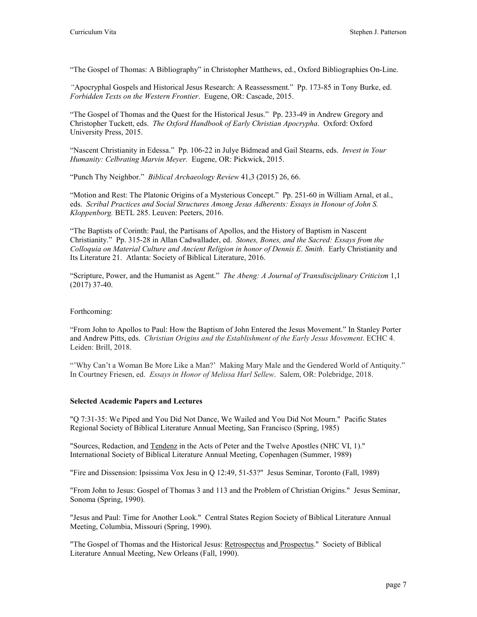"The Gospel of Thomas: A Bibliography" in Christopher Matthews, ed., Oxford Bibliographies On-Line.

*"*Apocryphal Gospels and Historical Jesus Research: A Reassessment." Pp. 173-85 in Tony Burke, ed. *Forbidden Texts on the Western Frontier*. Eugene, OR: Cascade, 2015.

"The Gospel of Thomas and the Quest for the Historical Jesus." Pp. 233-49 in Andrew Gregory and Christopher Tuckett, eds. *The Oxford Handbook of Early Christian Apocrypha*. Oxford: Oxford University Press, 2015.

"Nascent Christianity in Edessa." Pp. 106-22 in Julye Bidmead and Gail Stearns, eds. *Invest in Your Humanity: Celbrating Marvin Meyer.* Eugene, OR: Pickwick, 2015.

"Punch Thy Neighbor." *Biblical Archaeology Review* 41,3 (2015) 26, 66.

"Motion and Rest: The Platonic Origins of a Mysterious Concept." Pp. 251-60 in William Arnal, et al., eds. *Scribal Practices and Social Structures Among Jesus Adherents: Essays in Honour of John S. Kloppenborg.* BETL 285. Leuven: Peeters, 2016.

"The Baptists of Corinth: Paul, the Partisans of Apollos, and the History of Baptism in Nascent Christianity." Pp. 315-28 in Allan Cadwallader, ed. *Stones, Bones, and the Sacred: Essays from the Colloquia on Material Culture and Ancient Religion in honor of Dennis E. Smith*. Early Christianity and Its Literature 21. Atlanta: Society of Biblical Literature, 2016.

"Scripture, Power, and the Humanist as Agent." *The Abeng: A Journal of Transdisciplinary Criticism* 1,1 (2017) 37-40.

## Forthcoming:

"From John to Apollos to Paul: How the Baptism of John Entered the Jesus Movement." In Stanley Porter and Andrew Pitts, eds. *Christian Origins and the Establishment of the Early Jesus Movement*. ECHC 4. Leiden: Brill, 2018.

"'Why Can't a Woman Be More Like a Man?' Making Mary Male and the Gendered World of Antiquity." In Courtney Friesen, ed. *Essays in Honor of Melissa Harl Sellew*. Salem, OR: Polebridge, 2018.

# **Selected Academic Papers and Lectures**

"Q 7:31-35: We Piped and You Did Not Dance, We Wailed and You Did Not Mourn." Pacific States Regional Society of Biblical Literature Annual Meeting, San Francisco (Spring, 1985)

"Sources, Redaction, and Tendenz in the Acts of Peter and the Twelve Apostles (NHC VI, 1)." International Society of Biblical Literature Annual Meeting, Copenhagen (Summer, 1989)

"Fire and Dissension: Ipsissima Vox Jesu in Q 12:49, 51-53?" Jesus Seminar, Toronto (Fall, 1989)

"From John to Jesus: Gospel of Thomas 3 and 113 and the Problem of Christian Origins." Jesus Seminar, Sonoma (Spring, 1990).

"Jesus and Paul: Time for Another Look." Central States Region Society of Biblical Literature Annual Meeting, Columbia, Missouri (Spring, 1990).

"The Gospel of Thomas and the Historical Jesus: Retrospectus and Prospectus." Society of Biblical Literature Annual Meeting, New Orleans (Fall, 1990).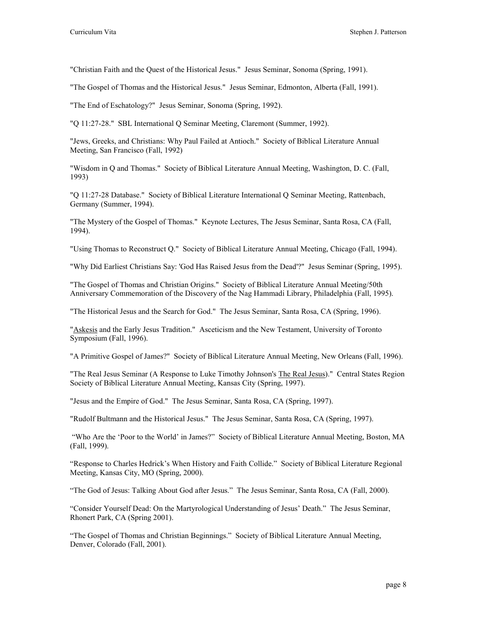"Christian Faith and the Quest of the Historical Jesus." Jesus Seminar, Sonoma (Spring, 1991).

"The Gospel of Thomas and the Historical Jesus." Jesus Seminar, Edmonton, Alberta (Fall, 1991).

"The End of Eschatology?" Jesus Seminar, Sonoma (Spring, 1992).

"Q 11:27-28." SBL International Q Seminar Meeting, Claremont (Summer, 1992).

"Jews, Greeks, and Christians: Why Paul Failed at Antioch." Society of Biblical Literature Annual Meeting, San Francisco (Fall, 1992)

"Wisdom in Q and Thomas." Society of Biblical Literature Annual Meeting, Washington, D. C. (Fall, 1993)

"Q 11:27-28 Database." Society of Biblical Literature International Q Seminar Meeting, Rattenbach, Germany (Summer, 1994).

"The Mystery of the Gospel of Thomas." Keynote Lectures, The Jesus Seminar, Santa Rosa, CA (Fall, 1994).

"Using Thomas to Reconstruct Q." Society of Biblical Literature Annual Meeting, Chicago (Fall, 1994).

"Why Did Earliest Christians Say: 'God Has Raised Jesus from the Dead'?" Jesus Seminar (Spring, 1995).

"The Gospel of Thomas and Christian Origins." Society of Biblical Literature Annual Meeting/50th Anniversary Commemoration of the Discovery of the Nag Hammadi Library, Philadelphia (Fall, 1995).

"The Historical Jesus and the Search for God." The Jesus Seminar, Santa Rosa, CA (Spring, 1996).

"Askesis and the Early Jesus Tradition." Asceticism and the New Testament, University of Toronto Symposium (Fall, 1996).

"A Primitive Gospel of James?" Society of Biblical Literature Annual Meeting, New Orleans (Fall, 1996).

"The Real Jesus Seminar (A Response to Luke Timothy Johnson's The Real Jesus)." Central States Region Society of Biblical Literature Annual Meeting, Kansas City (Spring, 1997).

"Jesus and the Empire of God." The Jesus Seminar, Santa Rosa, CA (Spring, 1997).

"Rudolf Bultmann and the Historical Jesus." The Jesus Seminar, Santa Rosa, CA (Spring, 1997).

"Who Are the 'Poor to the World' in James?" Society of Biblical Literature Annual Meeting, Boston, MA (Fall, 1999).

"Response to Charles Hedrick's When History and Faith Collide." Society of Biblical Literature Regional Meeting, Kansas City, MO (Spring, 2000).

"The God of Jesus: Talking About God after Jesus." The Jesus Seminar, Santa Rosa, CA (Fall, 2000).

"Consider Yourself Dead: On the Martyrological Understanding of Jesus' Death." The Jesus Seminar, Rhonert Park, CA (Spring 2001).

"The Gospel of Thomas and Christian Beginnings." Society of Biblical Literature Annual Meeting, Denver, Colorado (Fall, 2001).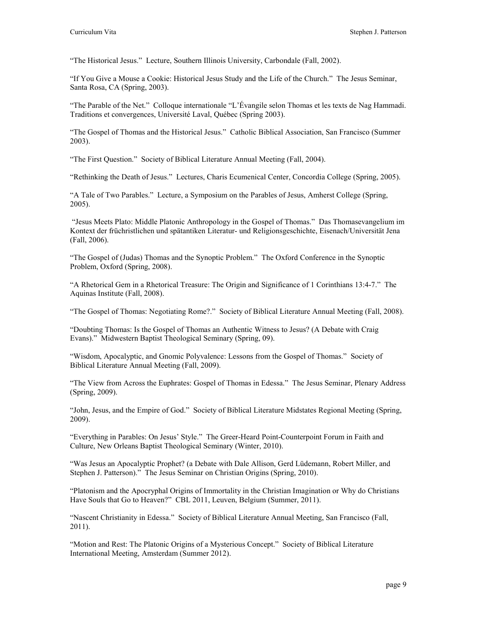"The Historical Jesus." Lecture, Southern Illinois University, Carbondale (Fall, 2002).

"If You Give a Mouse a Cookie: Historical Jesus Study and the Life of the Church." The Jesus Seminar, Santa Rosa, CA (Spring, 2003).

"The Parable of the Net." Colloque internationale "L'Évangile selon Thomas et les texts de Nag Hammadi. Traditions et convergences, Université Laval, Québec (Spring 2003).

"The Gospel of Thomas and the Historical Jesus." Catholic Biblical Association, San Francisco (Summer 2003).

"The First Question." Society of Biblical Literature Annual Meeting (Fall, 2004).

"Rethinking the Death of Jesus." Lectures, Charis Ecumenical Center, Concordia College (Spring, 2005).

"A Tale of Two Parables." Lecture, a Symposium on the Parables of Jesus, Amherst College (Spring, 2005).

"Jesus Meets Plato: Middle Platonic Anthropology in the Gospel of Thomas." Das Thomasevangelium im Kontext der früchristlichen und spätantiken Literatur- und Religionsgeschichte, Eisenach/Universität Jena (Fall, 2006).

"The Gospel of (Judas) Thomas and the Synoptic Problem." The Oxford Conference in the Synoptic Problem, Oxford (Spring, 2008).

"A Rhetorical Gem in a Rhetorical Treasure: The Origin and Significance of 1 Corinthians 13:4-7." The Aquinas Institute (Fall, 2008).

"The Gospel of Thomas: Negotiating Rome?." Society of Biblical Literature Annual Meeting (Fall, 2008).

"Doubting Thomas: Is the Gospel of Thomas an Authentic Witness to Jesus? (A Debate with Craig Evans)." Midwestern Baptist Theological Seminary (Spring, 09).

"Wisdom, Apocalyptic, and Gnomic Polyvalence: Lessons from the Gospel of Thomas." Society of Biblical Literature Annual Meeting (Fall, 2009).

"The View from Across the Euphrates: Gospel of Thomas in Edessa." The Jesus Seminar, Plenary Address (Spring, 2009).

"John, Jesus, and the Empire of God." Society of Biblical Literature Midstates Regional Meeting (Spring, 2009).

"Everything in Parables: On Jesus' Style." The Greer-Heard Point-Counterpoint Forum in Faith and Culture, New Orleans Baptist Theological Seminary (Winter, 2010).

"Was Jesus an Apocalyptic Prophet? (a Debate with Dale Allison, Gerd Lüdemann, Robert Miller, and Stephen J. Patterson)." The Jesus Seminar on Christian Origins (Spring, 2010).

"Platonism and the Apocryphal Origins of Immortality in the Christian Imagination or Why do Christians Have Souls that Go to Heaven?" CBL 2011, Leuven, Belgium (Summer, 2011).

"Nascent Christianity in Edessa." Society of Biblical Literature Annual Meeting, San Francisco (Fall, 2011).

"Motion and Rest: The Platonic Origins of a Mysterious Concept." Society of Biblical Literature International Meeting, Amsterdam (Summer 2012).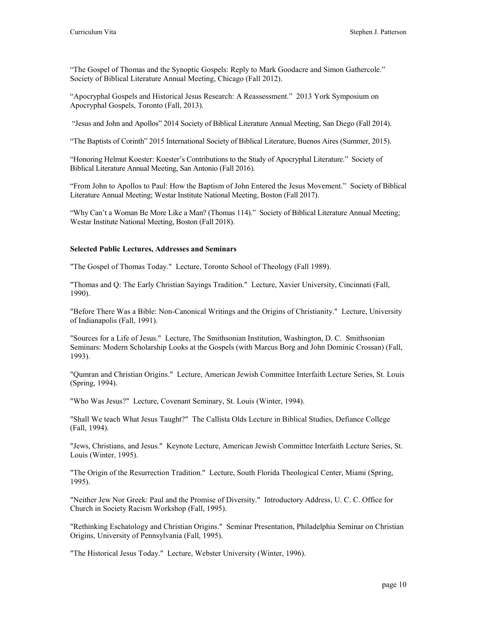"The Gospel of Thomas and the Synoptic Gospels: Reply to Mark Goodacre and Simon Gathercole." Society of Biblical Literature Annual Meeting, Chicago (Fall 2012).

"Apocryphal Gospels and Historical Jesus Research: A Reassessment." 2013 York Symposium on Apocryphal Gospels, Toronto (Fall, 2013).

"Jesus and John and Apollos" 2014 Society of Biblical Literature Annual Meeting, San Diego (Fall 2014).

"The Baptists of Corinth" 2015 International Society of Biblical Literature, Buenos Aires (Summer, 2015).

"Honoring Helmut Koester: Koester's Contributions to the Study of Apocryphal Literature." Society of Biblical Literature Annual Meeting, San Antonio (Fall 2016).

"From John to Apollos to Paul: How the Baptism of John Entered the Jesus Movement." Society of Biblical Literature Annual Meeting; Westar Institute National Meeting, Boston (Fall 2017).

"Why Can't a Woman Be More Like a Man? (Thomas 114)." Society of Biblical Literature Annual Meeting; Westar Institute National Meeting, Boston (Fall 2018).

#### **Selected Public Lectures, Addresses and Seminars**

"The Gospel of Thomas Today." Lecture, Toronto School of Theology (Fall 1989).

"Thomas and Q: The Early Christian Sayings Tradition." Lecture, Xavier University, Cincinnati (Fall, 1990).

"Before There Was a Bible: Non-Canonical Writings and the Origins of Christianity." Lecture, University of Indianapolis (Fall, 1991).

"Sources for a Life of Jesus." Lecture, The Smithsonian Institution, Washington, D. C. Smithsonian Seminars: Modern Scholarship Looks at the Gospels (with Marcus Borg and John Dominic Crossan) (Fall, 1993).

"Qumran and Christian Origins." Lecture, American Jewish Committee Interfaith Lecture Series, St. Louis (Spring, 1994).

"Who Was Jesus?" Lecture, Covenant Seminary, St. Louis (Winter, 1994).

"Shall We teach What Jesus Taught?" The Callista Olds Lecture in Biblical Studies, Defiance College (Fall, 1994).

"Jews, Christians, and Jesus." Keynote Lecture, American Jewish Committee Interfaith Lecture Series, St. Louis (Winter, 1995).

"The Origin of the Resurrection Tradition." Lecture, South Florida Theological Center, Miami (Spring, 1995).

"Neither Jew Nor Greek: Paul and the Promise of Diversity." Introductory Address, U. C. C. Office for Church in Society Racism Workshop (Fall, 1995).

"Rethinking Eschatology and Christian Origins." Seminar Presentation, Philadelphia Seminar on Christian Origins, University of Pennsylvania (Fall, 1995).

"The Historical Jesus Today." Lecture, Webster University (Winter, 1996).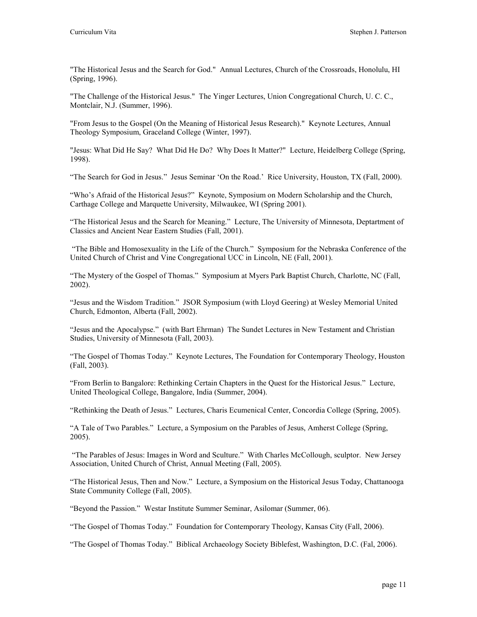"The Historical Jesus and the Search for God." Annual Lectures, Church of the Crossroads, Honolulu, HI (Spring, 1996).

"The Challenge of the Historical Jesus." The Yinger Lectures, Union Congregational Church, U. C. C., Montclair, N.J. (Summer, 1996).

"From Jesus to the Gospel (On the Meaning of Historical Jesus Research)." Keynote Lectures, Annual Theology Symposium, Graceland College (Winter, 1997).

"Jesus: What Did He Say? What Did He Do? Why Does It Matter?" Lecture, Heidelberg College (Spring, 1998).

"The Search for God in Jesus." Jesus Seminar 'On the Road.' Rice University, Houston, TX (Fall, 2000).

"Who's Afraid of the Historical Jesus?" Keynote, Symposium on Modern Scholarship and the Church, Carthage College and Marquette University, Milwaukee, WI (Spring 2001).

"The Historical Jesus and the Search for Meaning." Lecture, The University of Minnesota, Deptartment of Classics and Ancient Near Eastern Studies (Fall, 2001).

"The Bible and Homosexuality in the Life of the Church." Symposium for the Nebraska Conference of the United Church of Christ and Vine Congregational UCC in Lincoln, NE (Fall, 2001).

"The Mystery of the Gospel of Thomas." Symposium at Myers Park Baptist Church, Charlotte, NC (Fall, 2002).

"Jesus and the Wisdom Tradition." JSOR Symposium (with Lloyd Geering) at Wesley Memorial United Church, Edmonton, Alberta (Fall, 2002).

"Jesus and the Apocalypse." (with Bart Ehrman) The Sundet Lectures in New Testament and Christian Studies, University of Minnesota (Fall, 2003).

"The Gospel of Thomas Today." Keynote Lectures, The Foundation for Contemporary Theology, Houston (Fall, 2003).

"From Berlin to Bangalore: Rethinking Certain Chapters in the Quest for the Historical Jesus." Lecture, United Theological College, Bangalore, India (Summer, 2004).

"Rethinking the Death of Jesus." Lectures, Charis Ecumenical Center, Concordia College (Spring, 2005).

"A Tale of Two Parables." Lecture, a Symposium on the Parables of Jesus, Amherst College (Spring, 2005).

"The Parables of Jesus: Images in Word and Sculture." With Charles McCollough, sculptor. New Jersey Association, United Church of Christ, Annual Meeting (Fall, 2005).

"The Historical Jesus, Then and Now." Lecture, a Symposium on the Historical Jesus Today, Chattanooga State Community College (Fall, 2005).

"Beyond the Passion." Westar Institute Summer Seminar, Asilomar (Summer, 06).

"The Gospel of Thomas Today." Foundation for Contemporary Theology, Kansas City (Fall, 2006).

"The Gospel of Thomas Today." Biblical Archaeology Society Biblefest, Washington, D.C. (Fal, 2006).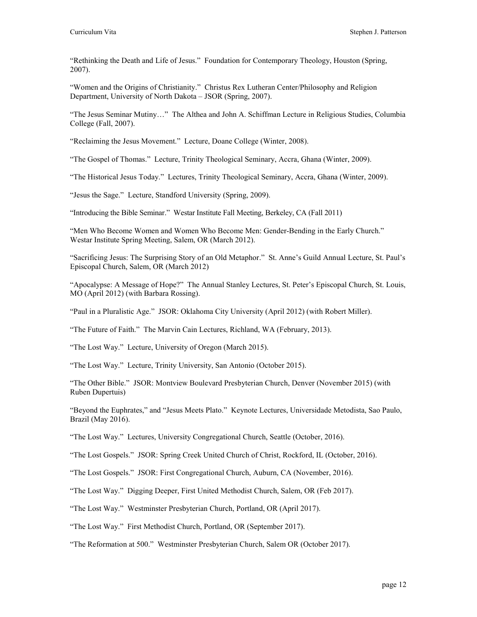"Rethinking the Death and Life of Jesus." Foundation for Contemporary Theology, Houston (Spring, 2007).

"Women and the Origins of Christianity." Christus Rex Lutheran Center/Philosophy and Religion Department, University of North Dakota – JSOR (Spring, 2007).

"The Jesus Seminar Mutiny…" The Althea and John A. Schiffman Lecture in Religious Studies, Columbia College (Fall, 2007).

"Reclaiming the Jesus Movement." Lecture, Doane College (Winter, 2008).

"The Gospel of Thomas." Lecture, Trinity Theological Seminary, Accra, Ghana (Winter, 2009).

"The Historical Jesus Today." Lectures, Trinity Theological Seminary, Accra, Ghana (Winter, 2009).

"Jesus the Sage." Lecture, Standford University (Spring, 2009).

"Introducing the Bible Seminar." Westar Institute Fall Meeting, Berkeley, CA (Fall 2011)

"Men Who Become Women and Women Who Become Men: Gender-Bending in the Early Church." Westar Institute Spring Meeting, Salem, OR (March 2012).

"Sacrificing Jesus: The Surprising Story of an Old Metaphor." St. Anne's Guild Annual Lecture, St. Paul's Episcopal Church, Salem, OR (March 2012)

"Apocalypse: A Message of Hope?" The Annual Stanley Lectures, St. Peter's Episcopal Church, St. Louis, MO (April 2012) (with Barbara Rossing).

"Paul in a Pluralistic Age." JSOR: Oklahoma City University (April 2012) (with Robert Miller).

"The Future of Faith." The Marvin Cain Lectures, Richland, WA (February, 2013).

"The Lost Way." Lecture, University of Oregon (March 2015).

"The Lost Way." Lecture, Trinity University, San Antonio (October 2015).

"The Other Bible." JSOR: Montview Boulevard Presbyterian Church, Denver (November 2015) (with Ruben Dupertuis)

"Beyond the Euphrates," and "Jesus Meets Plato." Keynote Lectures, Universidade Metodista, Sao Paulo, Brazil (May 2016).

"The Lost Way." Lectures, University Congregational Church, Seattle (October, 2016).

"The Lost Gospels." JSOR: Spring Creek United Church of Christ, Rockford, IL (October, 2016).

"The Lost Gospels." JSOR: First Congregational Church, Auburn, CA (November, 2016).

"The Lost Way." Digging Deeper, First United Methodist Church, Salem, OR (Feb 2017).

"The Lost Way." Westminster Presbyterian Church, Portland, OR (April 2017).

"The Lost Way." First Methodist Church, Portland, OR (September 2017).

"The Reformation at 500." Westminster Presbyterian Church, Salem OR (October 2017).